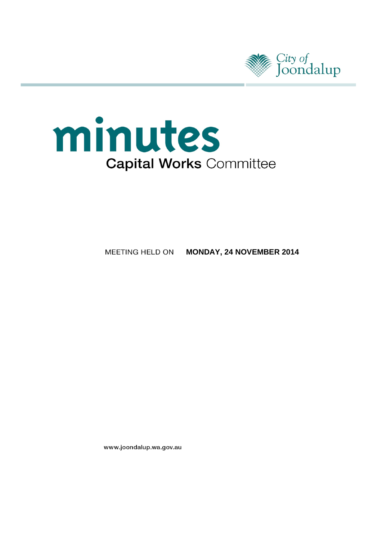



**MEETING HELD ON MONDAY, 24 NOVEMBER 2014** 

www.joondalup.wa.gov.au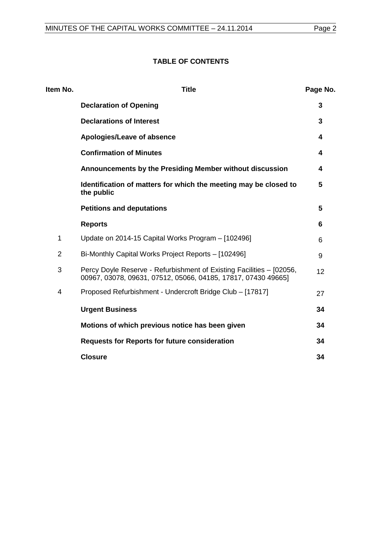# **TABLE OF CONTENTS**

| Item No.       | <b>Title</b>                                                                                                                          | Page No. |
|----------------|---------------------------------------------------------------------------------------------------------------------------------------|----------|
|                | <b>Declaration of Opening</b>                                                                                                         | 3        |
|                | <b>Declarations of Interest</b>                                                                                                       | 3        |
|                | Apologies/Leave of absence                                                                                                            | 4        |
|                | <b>Confirmation of Minutes</b>                                                                                                        | 4        |
|                | Announcements by the Presiding Member without discussion                                                                              | 4        |
|                | Identification of matters for which the meeting may be closed to<br>the public                                                        | 5        |
|                | <b>Petitions and deputations</b>                                                                                                      | 5        |
|                | <b>Reports</b>                                                                                                                        | 6        |
| 1              | Update on 2014-15 Capital Works Program - [102496]                                                                                    | 6        |
| $\overline{2}$ | Bi-Monthly Capital Works Project Reports - [102496]                                                                                   | 9        |
| 3              | Percy Doyle Reserve - Refurbishment of Existing Facilities - [02056,<br>00967, 03078, 09631, 07512, 05066, 04185, 17817, 07430 49665] | 12       |
| 4              | Proposed Refurbishment - Undercroft Bridge Club - [17817]                                                                             | 27       |
|                | <b>Urgent Business</b>                                                                                                                | 34       |
|                | Motions of which previous notice has been given                                                                                       | 34       |
|                | <b>Requests for Reports for future consideration</b>                                                                                  | 34       |
|                | <b>Closure</b>                                                                                                                        | 34       |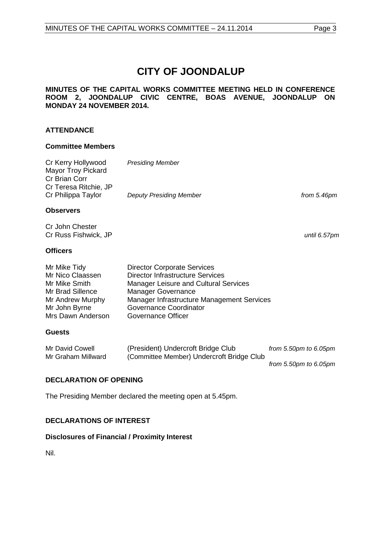Cr Russ Fishwick, JP *until 6.57pm* 

# **CITY OF JOONDALUP**

# **MINUTES OF THE CAPITAL WORKS COMMITTEE MEETING HELD IN CONFERENCE ROOM 2, JOONDALUP CIVIC CENTRE, BOAS AVENUE, JOONDALUP ON MONDAY 24 NOVEMBER 2014.**

# **ATTENDANCE**

#### **Committee Members**

| Cr Kerry Hollywood<br><b>Mayor Troy Pickard</b><br>Cr Brian Corr | <b>Presiding Member</b>        |             |
|------------------------------------------------------------------|--------------------------------|-------------|
| Cr Teresa Ritchie, JP<br>Cr Philippa Taylor                      | <b>Deputy Presiding Member</b> | from 5.46pm |
| <b>Observers</b>                                                 |                                |             |

| Cr John Chester      |  |
|----------------------|--|
| Cr Russ Fishwick, JP |  |

#### **Officers**

| Mr Mike Tidy      | <b>Director Corporate Services</b>           |
|-------------------|----------------------------------------------|
| Mr Nico Claassen  | <b>Director Infrastructure Services</b>      |
| Mr Mike Smith     | <b>Manager Leisure and Cultural Services</b> |
| Mr Brad Sillence  | <b>Manager Governance</b>                    |
| Mr Andrew Murphy  | Manager Infrastructure Management Services   |
| Mr John Byrne     | <b>Governance Coordinator</b>                |
| Mrs Dawn Anderson | Governance Officer                           |

# **Guests**

| Mr David Cowell    | (President) Undercroft Bridge Club        | from $5.50$ pm to $6.05$ pm |
|--------------------|-------------------------------------------|-----------------------------|
| Mr Graham Millward | (Committee Member) Undercroft Bridge Club |                             |

*from 5.50pm to 6.05pm*

# <span id="page-2-0"></span>**DECLARATION OF OPENING**

The Presiding Member declared the meeting open at 5.45pm.

# <span id="page-2-1"></span>**DECLARATIONS OF INTEREST**

# **Disclosures of Financial / Proximity Interest**

Nil.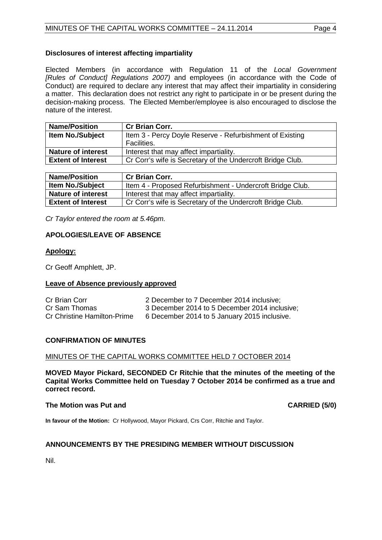# **Disclosures of interest affecting impartiality**

Elected Members (in accordance with Regulation 11 of the *Local Government [Rules of Conduct] Regulations 2007)* and employees (in accordance with the Code of Conduct) are required to declare any interest that may affect their impartiality in considering a matter. This declaration does not restrict any right to participate in or be present during the decision-making process. The Elected Member/employee is also encouraged to disclose the nature of the interest.

| <b>Name/Position</b>      | <b>Cr Brian Corr.</b>                                      |  |
|---------------------------|------------------------------------------------------------|--|
| <b>Item No./Subject</b>   | Item 3 - Percy Doyle Reserve - Refurbishment of Existing   |  |
|                           | Facilities.                                                |  |
| <b>Nature of interest</b> | Interest that may affect impartiality.                     |  |
| <b>Extent of Interest</b> | Cr Corr's wife is Secretary of the Undercroft Bridge Club. |  |

| <b>Name/Position</b>      | <b>Cr Brian Corr.</b>                                      |
|---------------------------|------------------------------------------------------------|
| <b>Item No./Subject</b>   | Item 4 - Proposed Refurbishment - Undercroft Bridge Club.  |
| <b>Nature of interest</b> | Interest that may affect impartiality.                     |
| <b>Extent of Interest</b> | Cr Corr's wife is Secretary of the Undercroft Bridge Club. |

*Cr Taylor entered the room at 5.46pm.*

# <span id="page-3-0"></span>**APOLOGIES/LEAVE OF ABSENCE**

# **Apology:**

Cr Geoff Amphlett, JP.

# **Leave of Absence previously approved**

| Cr Brian Corr                      | 2 December to 7 December 2014 inclusive:      |
|------------------------------------|-----------------------------------------------|
| Cr Sam Thomas                      | 3 December 2014 to 5 December 2014 inclusive; |
| <b>Cr Christine Hamilton-Prime</b> | 6 December 2014 to 5 January 2015 inclusive.  |

#### <span id="page-3-1"></span>**CONFIRMATION OF MINUTES**

#### MINUTES OF THE CAPITAL WORKS COMMITTEE HELD 7 OCTOBER 2014

**MOVED Mayor Pickard, SECONDED Cr Ritchie that the minutes of the meeting of the Capital Works Committee held on Tuesday 7 October 2014 be confirmed as a true and correct record.**

#### **The Motion was Put and CARRIED (5/0)**

**In favour of the Motion:** Cr Hollywood, Mayor Pickard, Crs Corr, Ritchie and Taylor.

# <span id="page-3-2"></span>**ANNOUNCEMENTS BY THE PRESIDING MEMBER WITHOUT DISCUSSION**

<span id="page-3-3"></span>Nil.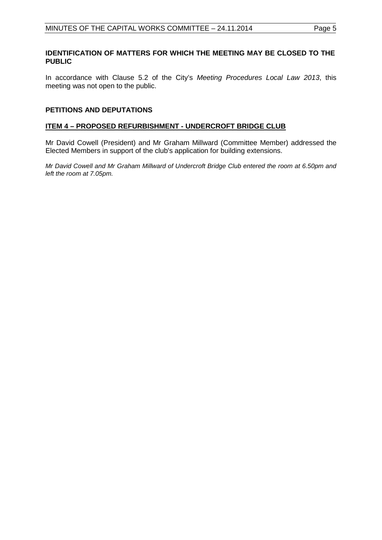# **IDENTIFICATION OF MATTERS FOR WHICH THE MEETING MAY BE CLOSED TO THE PUBLIC**

In accordance with Clause 5.2 of the City's *Meeting Procedures Local Law 2013*, this meeting was not open to the public.

# <span id="page-4-0"></span>**PETITIONS AND DEPUTATIONS**

# **ITEM 4 – PROPOSED REFURBISHMENT - UNDERCROFT BRIDGE CLUB**

Mr David Cowell (President) and Mr Graham Millward (Committee Member) addressed the Elected Members in support of the club's application for building extensions.

*Mr David Cowell and Mr Graham Millward of Undercroft Bridge Club entered the room at 6.50pm and left the room at 7.05pm.*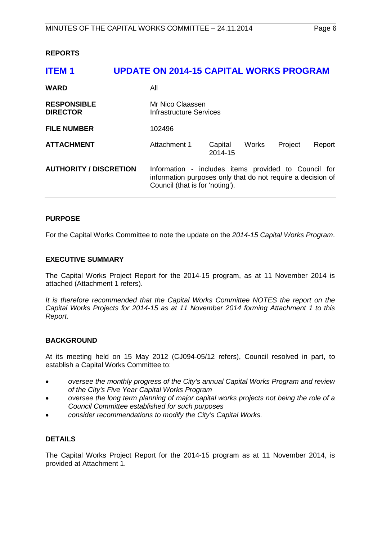#### <span id="page-5-0"></span>**REPORTS**

<span id="page-5-1"></span>

| <b>ITEM1</b>                          | <b>UPDATE ON 2014-15 CAPITAL WORKS PROGRAM</b>                                                                                                         |                    |       |         |        |
|---------------------------------------|--------------------------------------------------------------------------------------------------------------------------------------------------------|--------------------|-------|---------|--------|
| <b>WARD</b>                           | All                                                                                                                                                    |                    |       |         |        |
| <b>RESPONSIBLE</b><br><b>DIRECTOR</b> | Mr Nico Claassen<br><b>Infrastructure Services</b>                                                                                                     |                    |       |         |        |
| <b>FILE NUMBER</b>                    | 102496                                                                                                                                                 |                    |       |         |        |
| <b>ATTACHMENT</b>                     | Attachment 1                                                                                                                                           | Capital<br>2014-15 | Works | Project | Report |
| <b>AUTHORITY / DISCRETION</b>         | Information - includes items provided to Council for<br>information purposes only that do not require a decision of<br>Council (that is for 'noting'). |                    |       |         |        |

#### **PURPOSE**

For the Capital Works Committee to note the update on the *2014-15 Capital Works Program*.

#### **EXECUTIVE SUMMARY**

The Capital Works Project Report for the 2014-15 program, as at 11 November 2014 is attached (Attachment 1 refers).

*It is therefore recommended that the Capital Works Committee NOTES the report on the Capital Works Projects for 2014-15 as at 11 November 2014 forming Attachment 1 to this Report.*

# **BACKGROUND**

At its meeting held on 15 May 2012 (CJ094-05/12 refers), Council resolved in part, to establish a Capital Works Committee to:

- *oversee the monthly progress of the City's annual Capital Works Program and review of the City's Five Year Capital Works Program*
- *oversee the long term planning of major capital works projects not being the role of a Council Committee established for such purposes*
- *consider recommendations to modify the City's Capital Works.*

# **DETAILS**

The Capital Works Project Report for the 2014-15 program as at 11 November 2014, is provided at Attachment 1.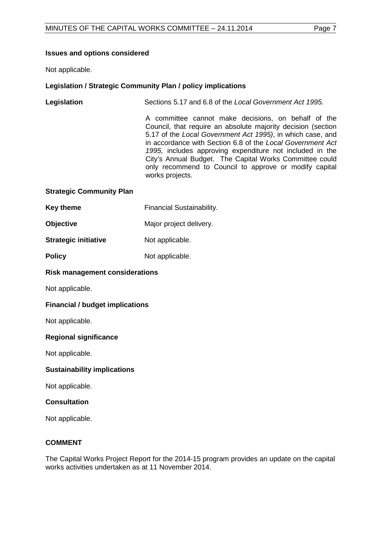#### **Issues and options considered**

Not applicable.

# **Legislation / Strategic Community Plan / policy implications**

**Legislation** Sections 5.17 and 6.8 of the *Local Government Act 1995.* A committee cannot make decisions, on behalf of the Council, that require an absolute majority decision (section 5.17 of the *Local Government Act 1995)*, in which case, and in accordance with Section 6.8 of the *Local Government Act 1995,* includes approving expenditure not included in the City's Annual Budget. The Capital Works Committee could only recommend to Council to approve or modify capital works projects.

# **Strategic Community Plan**

| <b>Key theme</b> | <b>Financial Sustainability.</b> |
|------------------|----------------------------------|
| <b>Objective</b> | Major project delivery.          |

**Strategic initiative** Not applicable.

**Policy** Not applicable.

# **Risk management considerations**

Not applicable.

#### **Financial / budget implications**

Not applicable.

#### **Regional significance**

Not applicable.

#### **Sustainability implications**

Not applicable.

#### **Consultation**

Not applicable.

# **COMMENT**

The Capital Works Project Report for the 2014-15 program provides an update on the capital works activities undertaken as at 11 November 2014.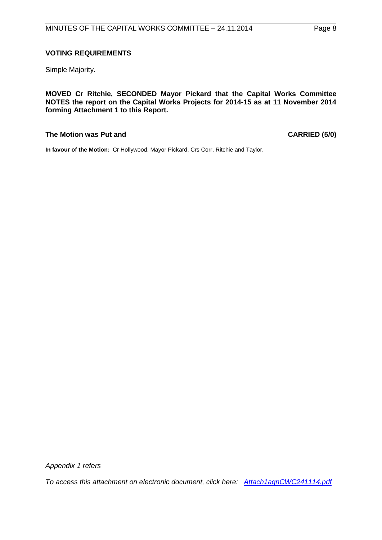# **VOTING REQUIREMENTS**

Simple Majority.

**MOVED Cr Ritchie, SECONDED Mayor Pickard that the Capital Works Committee NOTES the report on the Capital Works Projects for 2014-15 as at 11 November 2014 forming Attachment 1 to this Report.**

# **The Motion was Put and CARRIED (5/0)**

**In favour of the Motion:** Cr Hollywood, Mayor Pickard, Crs Corr, Ritchie and Taylor.

*Appendix 1 refers*

*[To access this attachment on electronic document, click here: Attach1agnCWC241114.pdf](http://www.joondalup.wa.gov.au/files/committees/CWOC/2014/Attach1agnCWC241114.pdf)*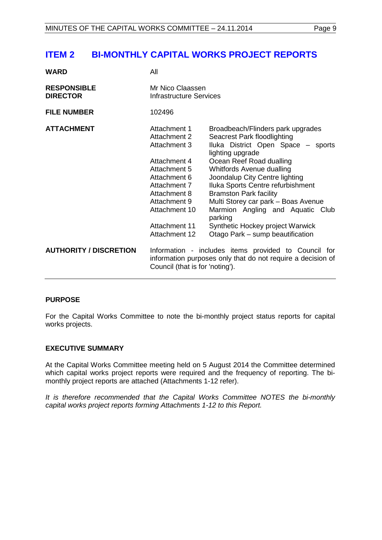# <span id="page-8-0"></span>**ITEM 2 BI-MONTHLY CAPITAL WORKS PROJECT REPORTS**

| WARD                                  | All                                                                                                                                                                                                    |                                                                                                                                                                                                                                                                                                                                                                                                                                                           |
|---------------------------------------|--------------------------------------------------------------------------------------------------------------------------------------------------------------------------------------------------------|-----------------------------------------------------------------------------------------------------------------------------------------------------------------------------------------------------------------------------------------------------------------------------------------------------------------------------------------------------------------------------------------------------------------------------------------------------------|
| <b>RESPONSIBLE</b><br><b>DIRECTOR</b> | Mr Nico Claassen<br><b>Infrastructure Services</b>                                                                                                                                                     |                                                                                                                                                                                                                                                                                                                                                                                                                                                           |
| <b>FILE NUMBER</b>                    | 102496                                                                                                                                                                                                 |                                                                                                                                                                                                                                                                                                                                                                                                                                                           |
| <b>ATTACHMENT</b>                     | Attachment 1<br><b>Attachment 2</b><br>Attachment 3<br>Attachment 4<br>Attachment 5<br>Attachment 6<br>Attachment 7<br>Attachment 8<br>Attachment 9<br>Attachment 10<br>Attachment 11<br>Attachment 12 | Broadbeach/Flinders park upgrades<br>Seacrest Park floodlighting<br>Iluka District Open Space - sports<br>lighting upgrade<br>Ocean Reef Road dualling<br>Whitfords Avenue dualling<br>Joondalup City Centre lighting<br>Iluka Sports Centre refurbishment<br><b>Bramston Park facility</b><br>Multi Storey car park - Boas Avenue<br>Marmion Angling and Aquatic Club<br>parking<br>Synthetic Hockey project Warwick<br>Otago Park – sump beautification |
| <b>AUTHORITY / DISCRETION</b>         |                                                                                                                                                                                                        | Information - includes items provided to Council for<br>information purposes only that do not require a decision of                                                                                                                                                                                                                                                                                                                                       |
|                                       | Council (that is for 'noting').                                                                                                                                                                        |                                                                                                                                                                                                                                                                                                                                                                                                                                                           |

# **PURPOSE**

For the Capital Works Committee to note the bi-monthly project status reports for capital works projects.

# **EXECUTIVE SUMMARY**

At the Capital Works Committee meeting held on 5 August 2014 the Committee determined which capital works project reports were required and the frequency of reporting. The bimonthly project reports are attached (Attachments 1-12 refer).

*It is therefore recommended that the Capital Works Committee NOTES the bi-monthly capital works project reports forming Attachments 1-12 to this Report.*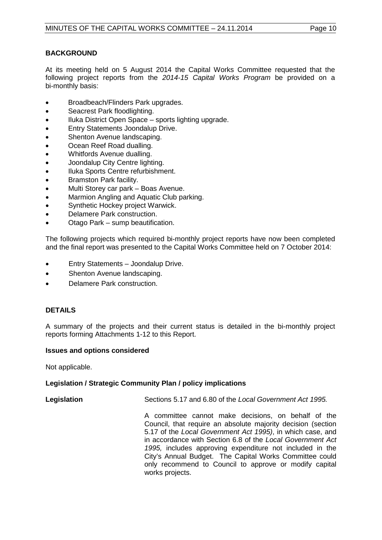# **BACKGROUND**

At its meeting held on 5 August 2014 the Capital Works Committee requested that the following project reports from the *2014-15 Capital Works Program* be provided on a bi-monthly basis:

- Broadbeach/Flinders Park upgrades.
- Seacrest Park floodlighting.
- Iluka District Open Space sports lighting upgrade.
- Entry Statements Joondalup Drive.
- Shenton Avenue landscaping.
- Ocean Reef Road dualling.
- Whitfords Avenue dualling.
- Joondalup City Centre lighting.
- Iluka Sports Centre refurbishment.
- Bramston Park facility.
- Multi Storey car park Boas Avenue.
- Marmion Angling and Aquatic Club parking.
- Synthetic Hockey project Warwick.
- Delamere Park construction.
- Otago Park sump beautification.

The following projects which required bi-monthly project reports have now been completed and the final report was presented to the Capital Works Committee held on 7 October 2014:

- Entry Statements Joondalup Drive.
- Shenton Avenue landscaping.
- Delamere Park construction.

# **DETAILS**

A summary of the projects and their current status is detailed in the bi-monthly project reports forming Attachments 1-12 to this Report.

# **Issues and options considered**

Not applicable.

# **Legislation / Strategic Community Plan / policy implications**

**Legislation** Sections 5.17 and 6.80 of the *Local Government Act 1995.*

A committee cannot make decisions, on behalf of the Council, that require an absolute majority decision (section 5.17 of the *Local Government Act 1995)*, in which case, and in accordance with Section 6.8 of the *Local Government Act 1995,* includes approving expenditure not included in the City's Annual Budget. The Capital Works Committee could only recommend to Council to approve or modify capital works projects.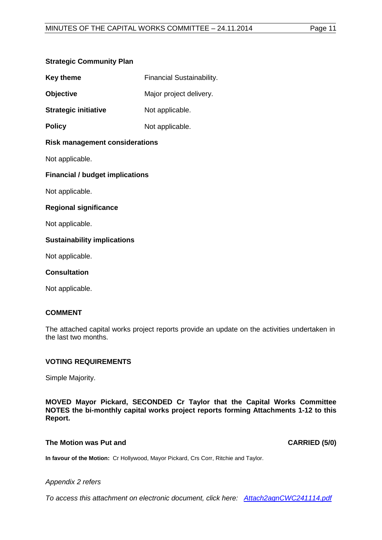#### **Strategic Community Plan**

| Key theme        | Financial Sustainability. |
|------------------|---------------------------|
| <b>Objective</b> | Major project delivery.   |
|                  |                           |

**Strategic initiative** Not applicable.

**Policy** Not applicable.

# **Risk management considerations**

Not applicable.

# **Financial / budget implications**

Not applicable.

# **Regional significance**

Not applicable.

# **Sustainability implications**

Not applicable.

# **Consultation**

Not applicable.

# **COMMENT**

The attached capital works project reports provide an update on the activities undertaken in the last two months.

# **VOTING REQUIREMENTS**

Simple Majority.

**MOVED Mayor Pickard, SECONDED Cr Taylor that the Capital Works Committee NOTES the bi-monthly capital works project reports forming Attachments 1-12 to this Report.**

# **The Motion was Put and CARRIED (5/0)**

**In favour of the Motion:** Cr Hollywood, Mayor Pickard, Crs Corr, Ritchie and Taylor.

#### *Appendix 2 refers*

*[To access this attachment on electronic document, click here: Attach2agnCWC241114.pdf](http://www.joondalup.wa.gov.au/files/committees/CWOC/2014/Attach2agnCWC241114.pdf)*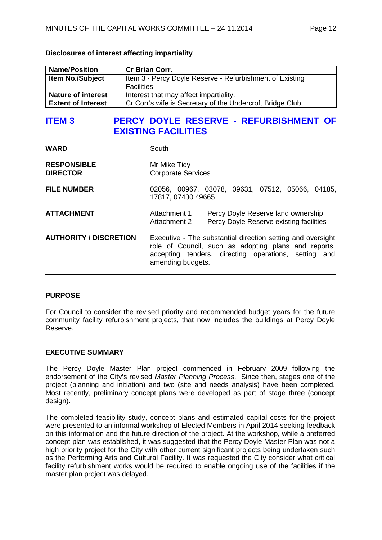| <b>Name/Position</b>      | <b>Cr Brian Corr.</b>                                      |
|---------------------------|------------------------------------------------------------|
| <b>Item No./Subject</b>   | Item 3 - Percy Doyle Reserve - Refurbishment of Existing   |
|                           | Facilities.                                                |
| <b>Nature of interest</b> | Interest that may affect impartiality.                     |
| <b>Extent of Interest</b> | Cr Corr's wife is Secretary of the Undercroft Bridge Club. |

#### **Disclosures of interest affecting impartiality**

# <span id="page-11-0"></span>**ITEM 3 PERCY DOYLE RESERVE - REFURBISHMENT OF EXISTING FACILITIES**

| <b>WARD</b>                           | South                                                                                                                                                                                            |
|---------------------------------------|--------------------------------------------------------------------------------------------------------------------------------------------------------------------------------------------------|
| <b>RESPONSIBLE</b><br><b>DIRECTOR</b> | Mr Mike Tidy<br><b>Corporate Services</b>                                                                                                                                                        |
| <b>FILE NUMBER</b>                    | 02056, 00967, 03078, 09631, 07512, 05066, 04185,<br>17817, 07430 49665                                                                                                                           |
| <b>ATTACHMENT</b>                     | Percy Doyle Reserve land ownership<br>Attachment 1<br>Percy Doyle Reserve existing facilities<br>Attachment 2                                                                                    |
| <b>AUTHORITY / DISCRETION</b>         | Executive - The substantial direction setting and oversight<br>role of Council, such as adopting plans and reports,<br>accepting tenders, directing operations, setting and<br>amending budgets. |

#### **PURPOSE**

For Council to consider the revised priority and recommended budget years for the future community facility refurbishment projects, that now includes the buildings at Percy Doyle Reserve.

# **EXECUTIVE SUMMARY**

The Percy Doyle Master Plan project commenced in February 2009 following the endorsement of the City's revised *Master Planning Process*. Since then, stages one of the project (planning and initiation) and two (site and needs analysis) have been completed. Most recently, preliminary concept plans were developed as part of stage three (concept design).

The completed feasibility study, concept plans and estimated capital costs for the project were presented to an informal workshop of Elected Members in April 2014 seeking feedback on this information and the future direction of the project. At the workshop, while a preferred concept plan was established, it was suggested that the Percy Doyle Master Plan was not a high priority project for the City with other current significant projects being undertaken such as the Performing Arts and Cultural Facility. It was requested the City consider what critical facility refurbishment works would be required to enable ongoing use of the facilities if the master plan project was delayed.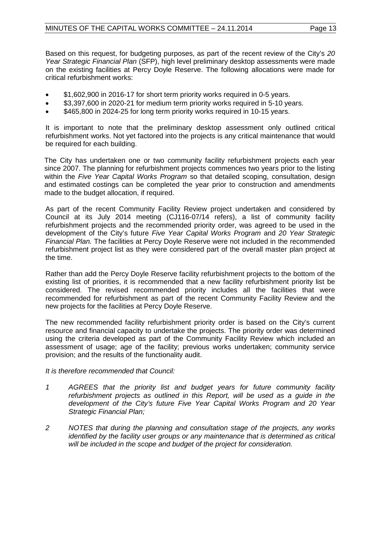Based on this request, for budgeting purposes, as part of the recent review of the City's *20 Year Strategic Financial Plan* (SFP), high level preliminary desktop assessments were made on the existing facilities at Percy Doyle Reserve. The following allocations were made for critical refurbishment works:

- \$1,602,900 in 2016-17 for short term priority works required in 0-5 years.
- \$3,397,600 in 2020-21 for medium term priority works required in 5-10 years.
- \$465,800 in 2024-25 for long term priority works required in 10-15 years.

It is important to note that the preliminary desktop assessment only outlined critical refurbishment works. Not yet factored into the projects is any critical maintenance that would be required for each building.

The City has undertaken one or two community facility refurbishment projects each year since 2007. The planning for refurbishment projects commences two years prior to the listing within the *Five Year Capital Works Program* so that detailed scoping, consultation, design and estimated costings can be completed the year prior to construction and amendments made to the budget allocation, if required.

As part of the recent Community Facility Review project undertaken and considered by Council at its July 2014 meeting (CJ116-07/14 refers), a list of community facility refurbishment projects and the recommended priority order, was agreed to be used in the development of the City's future *Five Year Capital Works Program* and *20 Year Strategic Financial Plan.* The facilities at Percy Doyle Reserve were not included in the recommended refurbishment project list as they were considered part of the overall master plan project at the time.

Rather than add the Percy Doyle Reserve facility refurbishment projects to the bottom of the existing list of priorities, it is recommended that a new facility refurbishment priority list be considered. The revised recommended priority includes all the facilities that were recommended for refurbishment as part of the recent Community Facility Review and the new projects for the facilities at Percy Doyle Reserve.

The new recommended facility refurbishment priority order is based on the City's current resource and financial capacity to undertake the projects. The priority order was determined using the criteria developed as part of the Community Facility Review which included an assessment of usage; age of the facility; previous works undertaken; community service provision; and the results of the functionality audit.

*It is therefore recommended that Council:*

- *1 AGREES that the priority list and budget years for future community facility refurbishment projects as outlined in this Report, will be used as a guide in the development of the City's future Five Year Capital Works Program and 20 Year Strategic Financial Plan;*
- *2 NOTES that during the planning and consultation stage of the projects, any works identified by the facility user groups or any maintenance that is determined as critical will be included in the scope and budget of the project for consideration.*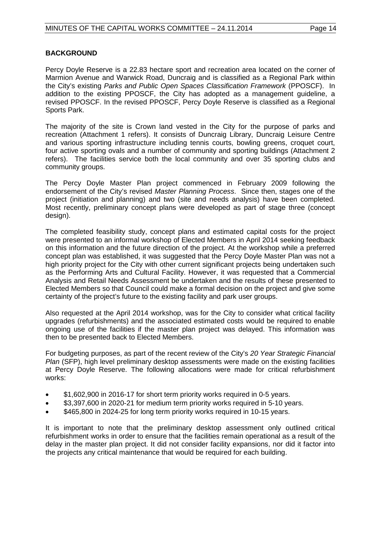#### **BACKGROUND**

Percy Doyle Reserve is a 22.83 hectare sport and recreation area located on the corner of Marmion Avenue and Warwick Road, Duncraig and is classified as a Regional Park within the City's existing *Parks and Public Open Spaces Classification Framework* (PPOSCF). In addition to the existing PPOSCF, the City has adopted as a management guideline, a revised PPOSCF. In the revised PPOSCF, Percy Doyle Reserve is classified as a Regional Sports Park.

The majority of the site is Crown land vested in the City for the purpose of parks and recreation (Attachment 1 refers). It consists of Duncraig Library, Duncraig Leisure Centre and various sporting infrastructure including tennis courts, bowling greens, croquet court, four active sporting ovals and a number of community and sporting buildings (Attachment 2 refers). The facilities service both the local community and over 35 sporting clubs and community groups.

The Percy Doyle Master Plan project commenced in February 2009 following the endorsement of the City's revised *Master Planning Process*. Since then, stages one of the project (initiation and planning) and two (site and needs analysis) have been completed. Most recently, preliminary concept plans were developed as part of stage three (concept design).

The completed feasibility study, concept plans and estimated capital costs for the project were presented to an informal workshop of Elected Members in April 2014 seeking feedback on this information and the future direction of the project. At the workshop while a preferred concept plan was established, it was suggested that the Percy Doyle Master Plan was not a high priority project for the City with other current significant projects being undertaken such as the Performing Arts and Cultural Facility. However, it was requested that a Commercial Analysis and Retail Needs Assessment be undertaken and the results of these presented to Elected Members so that Council could make a formal decision on the project and give some certainty of the project's future to the existing facility and park user groups.

Also requested at the April 2014 workshop, was for the City to consider what critical facility upgrades (refurbishments) and the associated estimated costs would be required to enable ongoing use of the facilities if the master plan project was delayed. This information was then to be presented back to Elected Members.

For budgeting purposes, as part of the recent review of the City's *20 Year Strategic Financial Plan* (SFP), high level preliminary desktop assessments were made on the existing facilities at Percy Doyle Reserve. The following allocations were made for critical refurbishment works:

- \$1,602,900 in 2016-17 for short term priority works required in 0-5 years.
- \$3,397,600 in 2020-21 for medium term priority works required in 5-10 years.
- \$465,800 in 2024-25 for long term priority works required in 10-15 years.

It is important to note that the preliminary desktop assessment only outlined critical refurbishment works in order to ensure that the facilities remain operational as a result of the delay in the master plan project. It did not consider facility expansions, nor did it factor into the projects any critical maintenance that would be required for each building.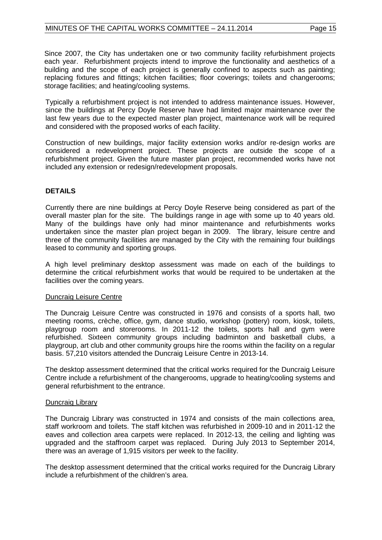Since 2007, the City has undertaken one or two community facility refurbishment projects each year. Refurbishment projects intend to improve the functionality and aesthetics of a building and the scope of each project is generally confined to aspects such as painting; replacing fixtures and fittings; kitchen facilities; floor coverings; toilets and changerooms; storage facilities; and heating/cooling systems.

Typically a refurbishment project is not intended to address maintenance issues. However, since the buildings at Percy Doyle Reserve have had limited major maintenance over the last few years due to the expected master plan project, maintenance work will be required and considered with the proposed works of each facility.

Construction of new buildings, major facility extension works and/or re-design works are considered a redevelopment project. These projects are outside the scope of a refurbishment project. Given the future master plan project, recommended works have not included any extension or redesign/redevelopment proposals.

# **DETAILS**

Currently there are nine buildings at Percy Doyle Reserve being considered as part of the overall master plan for the site. The buildings range in age with some up to 40 years old. Many of the buildings have only had minor maintenance and refurbishments works undertaken since the master plan project began in 2009. The library, leisure centre and three of the community facilities are managed by the City with the remaining four buildings leased to community and sporting groups.

A high level preliminary desktop assessment was made on each of the buildings to determine the critical refurbishment works that would be required to be undertaken at the facilities over the coming years.

#### Duncraig Leisure Centre

The Duncraig Leisure Centre was constructed in 1976 and consists of a sports hall, two meeting rooms, crèche, office, gym, dance studio, workshop (pottery) room, kiosk, toilets, playgroup room and storerooms. In 2011-12 the toilets, sports hall and gym were refurbished. Sixteen community groups including badminton and basketball clubs, a playgroup, art club and other community groups hire the rooms within the facility on a regular basis. 57,210 visitors attended the Duncraig Leisure Centre in 2013-14.

The desktop assessment determined that the critical works required for the Duncraig Leisure Centre include a refurbishment of the changerooms, upgrade to heating/cooling systems and general refurbishment to the entrance.

# Duncraig Library

The Duncraig Library was constructed in 1974 and consists of the main collections area, staff workroom and toilets. The staff kitchen was refurbished in 2009-10 and in 2011-12 the eaves and collection area carpets were replaced. In 2012-13, the ceiling and lighting was upgraded and the staffroom carpet was replaced. During July 2013 to September 2014, there was an average of 1,915 visitors per week to the facility.

The desktop assessment determined that the critical works required for the Duncraig Library include a refurbishment of the children's area.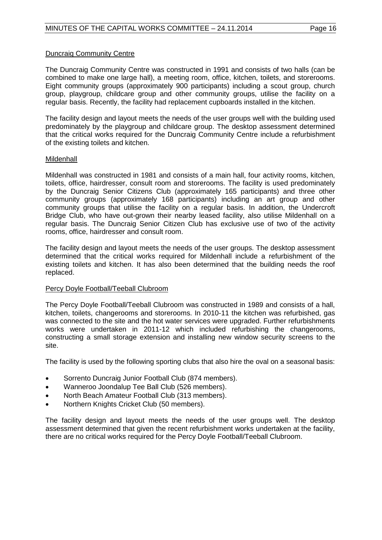#### Duncraig Community Centre

The Duncraig Community Centre was constructed in 1991 and consists of two halls (can be combined to make one large hall), a meeting room, office, kitchen, toilets, and storerooms. Eight community groups (approximately 900 participants) including a scout group, church group, playgroup, childcare group and other community groups, utilise the facility on a regular basis. Recently, the facility had replacement cupboards installed in the kitchen.

The facility design and layout meets the needs of the user groups well with the building used predominately by the playgroup and childcare group. The desktop assessment determined that the critical works required for the Duncraig Community Centre include a refurbishment of the existing toilets and kitchen.

#### Mildenhall

Mildenhall was constructed in 1981 and consists of a main hall, four activity rooms, kitchen, toilets, office, hairdresser, consult room and storerooms. The facility is used predominately by the Duncraig Senior Citizens Club (approximately 165 participants) and three other community groups (approximately 168 participants) including an art group and other community groups that utilise the facility on a regular basis. In addition, the Undercroft Bridge Club, who have out-grown their nearby leased facility, also utilise Mildenhall on a regular basis. The Duncraig Senior Citizen Club has exclusive use of two of the activity rooms, office, hairdresser and consult room.

The facility design and layout meets the needs of the user groups. The desktop assessment determined that the critical works required for Mildenhall include a refurbishment of the existing toilets and kitchen. It has also been determined that the building needs the roof replaced.

# Percy Doyle Football/Teeball Clubroom

The Percy Doyle Football/Teeball Clubroom was constructed in 1989 and consists of a hall, kitchen, toilets, changerooms and storerooms. In 2010-11 the kitchen was refurbished, gas was connected to the site and the hot water services were upgraded. Further refurbishments works were undertaken in 2011-12 which included refurbishing the changerooms, constructing a small storage extension and installing new window security screens to the site.

The facility is used by the following sporting clubs that also hire the oval on a seasonal basis:

- Sorrento Duncraig Junior Football Club (874 members).
- Wanneroo Joondalup Tee Ball Club (526 members).
- North Beach Amateur Football Club (313 members).
- Northern Knights Cricket Club (50 members).

The facility design and layout meets the needs of the user groups well. The desktop assessment determined that given the recent refurbishment works undertaken at the facility, there are no critical works required for the Percy Doyle Football/Teeball Clubroom.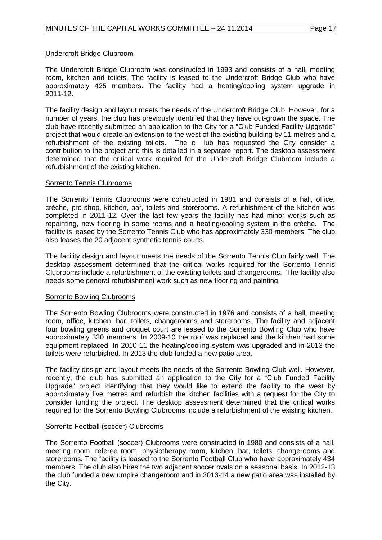#### Undercroft Bridge Clubroom

The Undercroft Bridge Clubroom was constructed in 1993 and consists of a hall, meeting room, kitchen and toilets. The facility is leased to the Undercroft Bridge Club who have approximately 425 members. The facility had a heating/cooling system upgrade in 2011-12.

The facility design and layout meets the needs of the Undercroft Bridge Club. However, for a number of years, the club has previously identified that they have out-grown the space. The club have recently submitted an application to the City for a "Club Funded Facility Upgrade" project that would create an extension to the west of the existing building by 11 metres and a refurbishment of the existing toilets. The c lub has requested the City consider a contribution to the project and this is detailed in a separate report. The desktop assessment determined that the critical work required for the Undercroft Bridge Clubroom include a refurbishment of the existing kitchen.

#### Sorrento Tennis Clubrooms

The Sorrento Tennis Clubrooms were constructed in 1981 and consists of a hall, office, crèche, pro-shop, kitchen, bar, toilets and storerooms. A refurbishment of the kitchen was completed in 2011-12. Over the last few years the facility has had minor works such as repainting, new flooring in some rooms and a heating/cooling system in the crèche. The facility is leased by the Sorrento Tennis Club who has approximately 330 members. The club also leases the 20 adjacent synthetic tennis courts.

The facility design and layout meets the needs of the Sorrento Tennis Club fairly well. The desktop assessment determined that the critical works required for the Sorrento Tennis Clubrooms include a refurbishment of the existing toilets and changerooms. The facility also needs some general refurbishment work such as new flooring and painting.

#### Sorrento Bowling Clubrooms

The Sorrento Bowling Clubrooms were constructed in 1976 and consists of a hall, meeting room, office, kitchen, bar, toilets, changerooms and storerooms. The facility and adjacent four bowling greens and croquet court are leased to the Sorrento Bowling Club who have approximately 320 members. In 2009-10 the roof was replaced and the kitchen had some equipment replaced. In 2010-11 the heating/cooling system was upgraded and in 2013 the toilets were refurbished. In 2013 the club funded a new patio area.

The facility design and layout meets the needs of the Sorrento Bowling Club well. However, recently, the club has submitted an application to the City for a "Club Funded Facility Upgrade" project identifying that they would like to extend the facility to the west by approximately five metres and refurbish the kitchen facilities with a request for the City to consider funding the project. The desktop assessment determined that the critical works required for the Sorrento Bowling Clubrooms include a refurbishment of the existing kitchen.

# Sorrento Football (soccer) Clubrooms

The Sorrento Football (soccer) Clubrooms were constructed in 1980 and consists of a hall, meeting room, referee room, physiotherapy room, kitchen, bar, toilets, changerooms and storerooms. The facility is leased to the Sorrento Football Club who have approximately 434 members. The club also hires the two adjacent soccer ovals on a seasonal basis. In 2012-13 the club funded a new umpire changeroom and in 2013-14 a new patio area was installed by the City.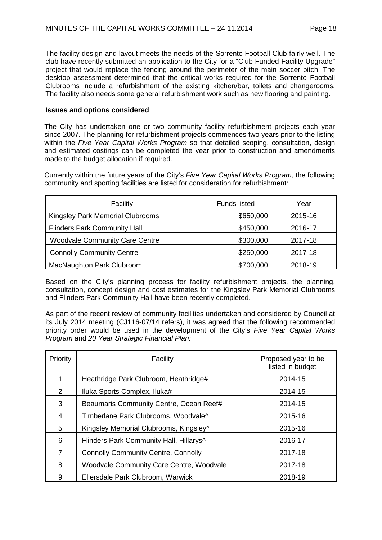The facility design and layout meets the needs of the Sorrento Football Club fairly well. The club have recently submitted an application to the City for a "Club Funded Facility Upgrade" project that would replace the fencing around the perimeter of the main soccer pitch. The desktop assessment determined that the critical works required for the Sorrento Football Clubrooms include a refurbishment of the existing kitchen/bar, toilets and changerooms. The facility also needs some general refurbishment work such as new flooring and painting.

# **Issues and options considered**

The City has undertaken one or two community facility refurbishment projects each year since 2007. The planning for refurbishment projects commences two years prior to the listing within the *Five Year Capital Works Program* so that detailed scoping, consultation, design and estimated costings can be completed the year prior to construction and amendments made to the budget allocation if required.

Currently within the future years of the City's *Five Year Capital Works Program,* the following community and sporting facilities are listed for consideration for refurbishment:

| Facility                              | <b>Funds listed</b> | Year    |
|---------------------------------------|---------------------|---------|
| Kingsley Park Memorial Clubrooms      | \$650,000           | 2015-16 |
| <b>Flinders Park Community Hall</b>   | \$450,000           | 2016-17 |
| <b>Woodvale Community Care Centre</b> | \$300,000           | 2017-18 |
| <b>Connolly Community Centre</b>      | \$250,000           | 2017-18 |
| MacNaughton Park Clubroom             | \$700,000           | 2018-19 |

Based on the City's planning process for facility refurbishment projects, the planning, consultation, concept design and cost estimates for the Kingsley Park Memorial Clubrooms and Flinders Park Community Hall have been recently completed.

As part of the recent review of community facilities undertaken and considered by Council at its July 2014 meeting (CJ116-07/14 refers), it was agreed that the following recommended priority order would be used in the development of the City's *Five Year Capital Works Program* and *20 Year Strategic Financial Plan:*

| Priority              | Facility                                            | Proposed year to be<br>listed in budget |
|-----------------------|-----------------------------------------------------|-----------------------------------------|
|                       | Heathridge Park Clubroom, Heathridge#               | 2014-15                                 |
| $\mathbf{2}^{\prime}$ | Iluka Sports Complex, Iluka#                        | 2014-15                                 |
| 3                     | Beaumaris Community Centre, Ocean Reef#             | 2014-15                                 |
| 4                     | Timberlane Park Clubrooms, Woodvale^<br>2015-16     |                                         |
| 5                     | Kingsley Memorial Clubrooms, Kingsley^              | 2015-16                                 |
| 6                     | Flinders Park Community Hall, Hillarys <sup>^</sup> | 2016-17                                 |
| $\overline{7}$        | <b>Connolly Community Centre, Connolly</b>          | 2017-18                                 |
| 8                     | <b>Woodvale Community Care Centre, Woodvale</b>     | 2017-18                                 |
| 9                     | Ellersdale Park Clubroom, Warwick<br>2018-19        |                                         |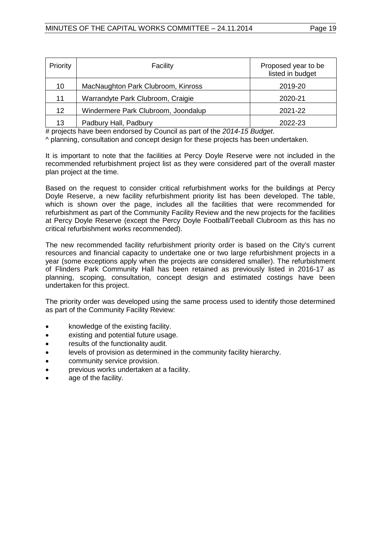| Priority | Facility                            | Proposed year to be<br>listed in budget |
|----------|-------------------------------------|-----------------------------------------|
| 10       | MacNaughton Park Clubroom, Kinross  | 2019-20                                 |
| 11       | Warrandyte Park Clubroom, Craigie   | 2020-21                                 |
| 12       | Windermere Park Clubroom, Joondalup | 2021-22                                 |
| 13       | Padbury Hall, Padbury               | 2022-23                                 |

# projects have been endorsed by Council as part of the *2014-15 Budget*.

^ planning, consultation and concept design for these projects has been undertaken.

It is important to note that the facilities at Percy Doyle Reserve were not included in the recommended refurbishment project list as they were considered part of the overall master plan project at the time.

Based on the request to consider critical refurbishment works for the buildings at Percy Doyle Reserve, a new facility refurbishment priority list has been developed. The table, which is shown over the page, includes all the facilities that were recommended for refurbishment as part of the Community Facility Review and the new projects for the facilities at Percy Doyle Reserve (except the Percy Doyle Football/Teeball Clubroom as this has no critical refurbishment works recommended).

The new recommended facility refurbishment priority order is based on the City's current resources and financial capacity to undertake one or two large refurbishment projects in a year (some exceptions apply when the projects are considered smaller). The refurbishment of Flinders Park Community Hall has been retained as previously listed in 2016-17 as planning, scoping, consultation, concept design and estimated costings have been undertaken for this project.

The priority order was developed using the same process used to identify those determined as part of the Community Facility Review:

- knowledge of the existing facility.
- existing and potential future usage.
- results of the functionality audit.
- levels of provision as determined in the community facility hierarchy.
- community service provision.
- previous works undertaken at a facility.
- age of the facility.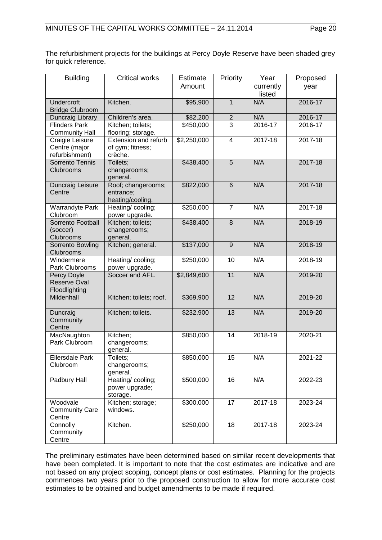The refurbishment projects for the buildings at Percy Doyle Reserve have been shaded grey for quick reference.

| <b>Building</b>                                    | <b>Critical works</b>                               | <b>Estimate</b> | Priority        | Year                | Proposed |
|----------------------------------------------------|-----------------------------------------------------|-----------------|-----------------|---------------------|----------|
|                                                    |                                                     | Amount          |                 | currently<br>listed | year     |
| Undercroft<br><b>Bridge Clubroom</b>               | Kitchen.                                            | \$95,900        | $\mathbf{1}$    | N/A                 | 2016-17  |
| Duncraig Library                                   | Children's area.                                    | \$82,200        | $rac{2}{3}$     | N/A                 | 2016-17  |
| <b>Flinders Park</b><br><b>Community Hall</b>      | Kitchen; toilets;<br>flooring; storage.             | \$450,000       |                 | 2016-17             | 2016-17  |
| Craigie Leisure<br>Centre (major<br>refurbishment) | Extension and refurb<br>of gym; fitness;<br>crèche. | \$2,250,000     | $\overline{4}$  | 2017-18             | 2017-18  |
| Sorrento Tennis<br>Clubrooms                       | Toilets;<br>changerooms;<br>general.                | \$438,400       | 5               | N/A                 | 2017-18  |
| Duncraig Leisure<br>Centre                         | Roof; changerooms;<br>entrance;<br>heating/cooling. | \$822,000       | $6\phantom{1}$  | N/A                 | 2017-18  |
| Warrandyte Park<br>Clubroom                        | Heating/cooling;<br>power upgrade.                  | \$250,000       | $\overline{7}$  | N/A                 | 2017-18  |
| Sorrento Football<br>(soccer)<br>Clubrooms         | Kitchen; toilets;<br>changerooms;<br>general.       | \$438,400       | $\overline{8}$  | N/A                 | 2018-19  |
| Sorrento Bowling<br>Clubrooms                      | Kitchen; general.                                   | \$137,000       | 9               | N/A                 | 2018-19  |
| Windermere<br>Park Clubrooms                       | Heating/ cooling;<br>power upgrade.                 | \$250,000       | 10              | N/A                 | 2018-19  |
| Percy Doyle<br>Reserve Oval<br>Floodlighting       | Soccer and AFL.                                     | \$2,849,600     | 11              | N/A                 | 2019-20  |
| Mildenhall                                         | Kitchen; toilets; roof.                             | \$369,900       | $\overline{12}$ | N/A                 | 2019-20  |
| Duncraig<br>Community<br>Centre                    | Kitchen; toilets.                                   | \$232,900       | 13              | N/A                 | 2019-20  |
| MacNaughton<br>Park Clubroom                       | Kitchen;<br>changerooms;<br>general.                | \$850,000       | 14              | 2018-19             | 2020-21  |
| <b>Ellersdale Park</b><br>Clubroom                 | Toilets;<br>changerooms;<br>general.                | \$850,000       | 15              | N/A                 | 2021-22  |
| Padbury Hall                                       | Heating/cooling;<br>power upgrade;<br>storage.      | \$500,000       | 16              | N/A                 | 2022-23  |
| Woodvale<br><b>Community Care</b><br>Centre        | Kitchen; storage;<br>windows.                       | \$300,000       | $\overline{17}$ | $2017 - 18$         | 2023-24  |
| Connolly<br>Community<br>Centre                    | Kitchen.                                            | \$250,000       | 18              | 2017-18             | 2023-24  |

The preliminary estimates have been determined based on similar recent developments that have been completed. It is important to note that the cost estimates are indicative and are not based on any project scoping, concept plans or cost estimates. Planning for the projects commences two years prior to the proposed construction to allow for more accurate cost estimates to be obtained and budget amendments to be made if required.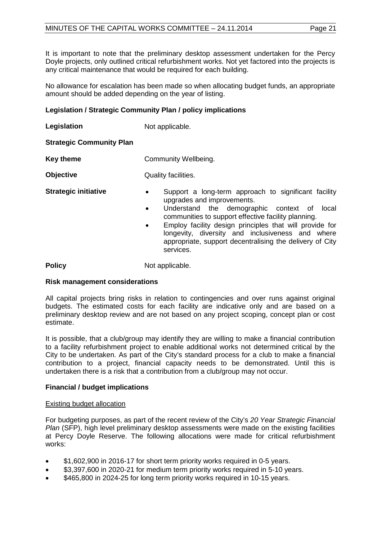It is important to note that the preliminary desktop assessment undertaken for the Percy Doyle projects, only outlined critical refurbishment works. Not yet factored into the projects is any critical maintenance that would be required for each building.

No allowance for escalation has been made so when allocating budget funds, an appropriate amount should be added depending on the year of listing.

# **Legislation / Strategic Community Plan / policy implications**

| Legislation                     | Not applicable.                                                                                                                                                                                                                                                                                                                                                                                                            |  |
|---------------------------------|----------------------------------------------------------------------------------------------------------------------------------------------------------------------------------------------------------------------------------------------------------------------------------------------------------------------------------------------------------------------------------------------------------------------------|--|
| <b>Strategic Community Plan</b> |                                                                                                                                                                                                                                                                                                                                                                                                                            |  |
| <b>Key theme</b>                | Community Wellbeing.                                                                                                                                                                                                                                                                                                                                                                                                       |  |
| <b>Objective</b>                | Quality facilities.                                                                                                                                                                                                                                                                                                                                                                                                        |  |
| <b>Strategic initiative</b>     | Support a long-term approach to significant facility<br>$\bullet$<br>upgrades and improvements.<br>Understand the demographic context of<br>local<br>$\bullet$<br>communities to support effective facility planning.<br>Employ facility design principles that will provide for<br>$\bullet$<br>longevity, diversity and inclusiveness and where<br>appropriate, support decentralising the delivery of City<br>services. |  |
| <b>Policy</b>                   | Not applicable.                                                                                                                                                                                                                                                                                                                                                                                                            |  |

# **Risk management considerations**

All capital projects bring risks in relation to contingencies and over runs against original budgets. The estimated costs for each facility are indicative only and are based on a preliminary desktop review and are not based on any project scoping, concept plan or cost estimate.

It is possible, that a club/group may identify they are willing to make a financial contribution to a facility refurbishment project to enable additional works not determined critical by the City to be undertaken. As part of the City's standard process for a club to make a financial contribution to a project, financial capacity needs to be demonstrated. Until this is undertaken there is a risk that a contribution from a club/group may not occur.

# **Financial / budget implications**

# Existing budget allocation

For budgeting purposes, as part of the recent review of the City's *20 Year Strategic Financial Plan* (SFP), high level preliminary desktop assessments were made on the existing facilities at Percy Doyle Reserve. The following allocations were made for critical refurbishment works:

- \$1,602,900 in 2016-17 for short term priority works required in 0-5 years.
- \$3,397,600 in 2020-21 for medium term priority works required in 5-10 years.
- \$465,800 in 2024-25 for long term priority works required in 10-15 years.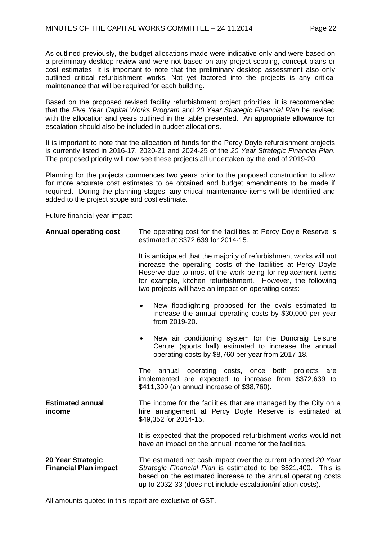As outlined previously, the budget allocations made were indicative only and were based on a preliminary desktop review and were not based on any project scoping, concept plans or cost estimates. It is important to note that the preliminary desktop assessment also only outlined critical refurbishment works. Not yet factored into the projects is any critical maintenance that will be required for each building.

Based on the proposed revised facility refurbishment project priorities, it is recommended that the *Five Year Capital Works Program* and *20 Year Strategic Financial Plan* be revised with the allocation and years outlined in the table presented. An appropriate allowance for escalation should also be included in budget allocations.

It is important to note that the allocation of funds for the Percy Doyle refurbishment projects is currently listed in 2016-17, 2020-21 and 2024-25 of the *20 Year Strategic Financial Plan*. The proposed priority will now see these projects all undertaken by the end of 2019-20.

Planning for the projects commences two years prior to the proposed construction to allow for more accurate cost estimates to be obtained and budget amendments to be made if required. During the planning stages, any critical maintenance items will be identified and added to the project scope and cost estimate.

#### Future financial year impact

| <b>Annual operating cost</b>                      | The operating cost for the facilities at Percy Doyle Reserve is<br>estimated at \$372,639 for 2014-15.                                                                                                                                                                                                                    |  |  |
|---------------------------------------------------|---------------------------------------------------------------------------------------------------------------------------------------------------------------------------------------------------------------------------------------------------------------------------------------------------------------------------|--|--|
|                                                   | It is anticipated that the majority of refurbishment works will not<br>increase the operating costs of the facilities at Percy Doyle<br>Reserve due to most of the work being for replacement items<br>for example, kitchen refurbishment. However, the following<br>two projects will have an impact on operating costs: |  |  |
|                                                   | New floodlighting proposed for the ovals estimated to<br>$\bullet$<br>increase the annual operating costs by \$30,000 per year<br>from 2019-20.                                                                                                                                                                           |  |  |
|                                                   | New air conditioning system for the Duncraig Leisure<br>Centre (sports hall) estimated to increase the annual<br>operating costs by \$8,760 per year from 2017-18.                                                                                                                                                        |  |  |
|                                                   | The<br>annual operating costs, once both<br>projects<br>are<br>implemented are expected to increase from \$372,639 to<br>\$411,399 (an annual increase of \$38,760).                                                                                                                                                      |  |  |
| <b>Estimated annual</b><br>income                 | The income for the facilities that are managed by the City on a<br>hire arrangement at Percy Doyle Reserve is estimated at<br>\$49,352 for 2014-15.                                                                                                                                                                       |  |  |
|                                                   | It is expected that the proposed refurbishment works would not<br>have an impact on the annual income for the facilities.                                                                                                                                                                                                 |  |  |
| 20 Year Strategic<br><b>Financial Plan impact</b> | The estimated net cash impact over the current adopted 20 Year<br>Strategic Financial Plan is estimated to be \$521,400. This is<br>based on the estimated increase to the annual operating costs<br>up to 2032-33 (does not include escalation/inflation costs).                                                         |  |  |

All amounts quoted in this report are exclusive of GST.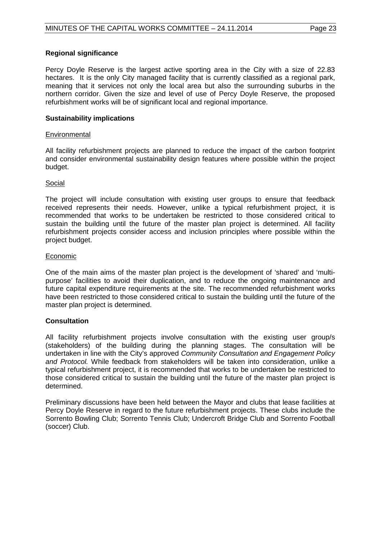# **Regional significance**

Percy Doyle Reserve is the largest active sporting area in the City with a size of 22.83 hectares. It is the only City managed facility that is currently classified as a regional park, meaning that it services not only the local area but also the surrounding suburbs in the northern corridor. Given the size and level of use of Percy Doyle Reserve, the proposed refurbishment works will be of significant local and regional importance.

#### **Sustainability implications**

#### Environmental

All facility refurbishment projects are planned to reduce the impact of the carbon footprint and consider environmental sustainability design features where possible within the project budget.

#### Social

The project will include consultation with existing user groups to ensure that feedback received represents their needs. However, unlike a typical refurbishment project, it is recommended that works to be undertaken be restricted to those considered critical to sustain the building until the future of the master plan project is determined. All facility refurbishment projects consider access and inclusion principles where possible within the project budget.

#### Economic

One of the main aims of the master plan project is the development of 'shared' and 'multipurpose' facilities to avoid their duplication, and to reduce the ongoing maintenance and future capital expenditure requirements at the site. The recommended refurbishment works have been restricted to those considered critical to sustain the building until the future of the master plan project is determined.

# **Consultation**

All facility refurbishment projects involve consultation with the existing user group/s (stakeholders) of the building during the planning stages. The consultation will be undertaken in line with the City's approved *Community Consultation and Engagement Policy and Protocol.* While feedback from stakeholders will be taken into consideration, unlike a typical refurbishment project, it is recommended that works to be undertaken be restricted to those considered critical to sustain the building until the future of the master plan project is determined.

Preliminary discussions have been held between the Mayor and clubs that lease facilities at Percy Doyle Reserve in regard to the future refurbishment projects. These clubs include the Sorrento Bowling Club; Sorrento Tennis Club; Undercroft Bridge Club and Sorrento Football (soccer) Club.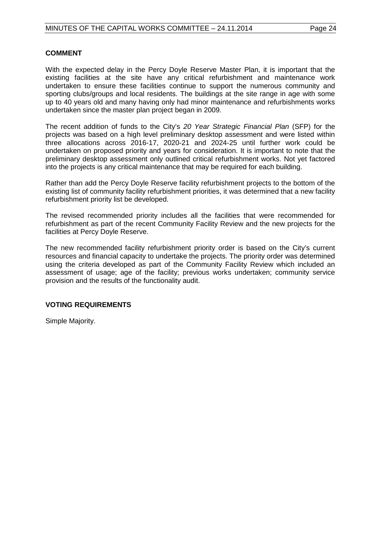#### **COMMENT**

With the expected delay in the Percy Doyle Reserve Master Plan, it is important that the existing facilities at the site have any critical refurbishment and maintenance work undertaken to ensure these facilities continue to support the numerous community and sporting clubs/groups and local residents. The buildings at the site range in age with some up to 40 years old and many having only had minor maintenance and refurbishments works undertaken since the master plan project began in 2009.

The recent addition of funds to the City's *20 Year Strategic Financial Plan* (SFP) for the projects was based on a high level preliminary desktop assessment and were listed within three allocations across 2016-17, 2020-21 and 2024-25 until further work could be undertaken on proposed priority and years for consideration. It is important to note that the preliminary desktop assessment only outlined critical refurbishment works. Not yet factored into the projects is any critical maintenance that may be required for each building.

Rather than add the Percy Doyle Reserve facility refurbishment projects to the bottom of the existing list of community facility refurbishment priorities, it was determined that a new facility refurbishment priority list be developed.

The revised recommended priority includes all the facilities that were recommended for refurbishment as part of the recent Community Facility Review and the new projects for the facilities at Percy Doyle Reserve.

The new recommended facility refurbishment priority order is based on the City's current resources and financial capacity to undertake the projects. The priority order was determined using the criteria developed as part of the Community Facility Review which included an assessment of usage; age of the facility; previous works undertaken; community service provision and the results of the functionality audit.

# **VOTING REQUIREMENTS**

Simple Majority.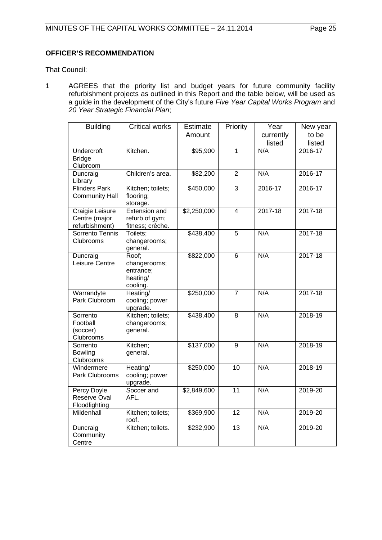# **OFFICER'S RECOMMENDATION**

That Council:

1 AGREES that the priority list and budget years for future community facility refurbishment projects as outlined in this Report and the table below, will be used as a guide in the development of the City's future *Five Year Capital Works Program* and *20 Year Strategic Financial Plan*;

| <b>Building</b>                    | <b>Critical works</b>            | Estimate    | Priority        | Year      | New year    |
|------------------------------------|----------------------------------|-------------|-----------------|-----------|-------------|
|                                    |                                  | Amount      |                 | currently | to be       |
|                                    |                                  |             |                 | listed    | listed      |
| <b>Undercroft</b>                  | Kitchen.                         | \$95,900    | $\overline{1}$  | N/A       | 2016-17     |
| <b>Bridge</b>                      |                                  |             |                 |           |             |
| Clubroom<br>Duncraig               | Children's area.                 | \$82,200    | $\overline{2}$  | N/A       | 2016-17     |
| Library                            |                                  |             |                 |           |             |
| <b>Flinders Park</b>               | Kitchen; toilets;                | \$450,000   | 3               | 2016-17   | 2016-17     |
| <b>Community Hall</b>              | flooring;                        |             |                 |           |             |
| Craigie Leisure                    | storage.<br><b>Extension and</b> | \$2,250,000 | $\overline{4}$  | 2017-18   | 2017-18     |
| Centre (major                      | refurb of gym;                   |             |                 |           |             |
| refurbishment)                     | fitness; crèche.                 |             |                 |           |             |
| Sorrento Tennis                    | Toilets;                         | \$438,400   | $\overline{5}$  | N/A       | $2017 - 18$ |
| Clubrooms                          | changerooms;                     |             |                 |           |             |
|                                    | general.                         |             |                 |           |             |
| Duncraig                           | Roof:                            | \$822,000   | 6               | N/A       | 2017-18     |
| Leisure Centre                     | changerooms;                     |             |                 |           |             |
|                                    | entrance;<br>heating/            |             |                 |           |             |
|                                    | cooling.                         |             |                 |           |             |
| Warrandyte                         | Heating/                         | \$250,000   | $\overline{7}$  | N/A       | $2017 - 18$ |
| Park Clubroom                      | cooling; power                   |             |                 |           |             |
|                                    | upgrade.                         |             |                 |           |             |
| Sorrento                           | Kitchen; toilets;                | \$438,400   | 8               | N/A       | 2018-19     |
| Football                           | changerooms;                     |             |                 |           |             |
| (soccer)<br>Clubrooms              | general.                         |             |                 |           |             |
| Sorrento                           | Kitchen;                         | \$137,000   | $\overline{9}$  | N/A       | 2018-19     |
| <b>Bowling</b>                     | general.                         |             |                 |           |             |
| Clubrooms                          |                                  |             |                 |           |             |
| Windermere                         | Heating/                         | \$250,000   | 10              | N/A       | 2018-19     |
| Park Clubrooms                     | cooling; power                   |             |                 |           |             |
|                                    | upgrade.                         |             |                 | N/A       |             |
| <b>Percy Doyle</b><br>Reserve Oval | Soccer and<br>AFL.               | \$2,849,600 | $\overline{11}$ |           | 2019-20     |
| Floodlighting                      |                                  |             |                 |           |             |
| Mildenhall                         | Kitchen; toilets;                | \$369,900   | 12              | N/A       | 2019-20     |
|                                    | roof.                            |             |                 |           |             |
| Duncraig                           | Kitchen; toilets.                | \$232,900   | $\overline{13}$ | N/A       | 2019-20     |
| Community                          |                                  |             |                 |           |             |
| Centre                             |                                  |             |                 |           |             |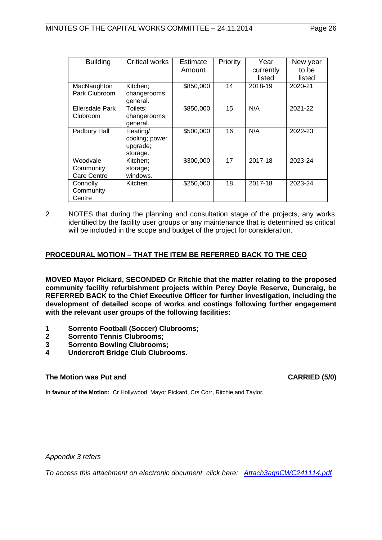| <b>Building</b>                             | Critical works                                     | Estimate<br>Amount | Priority | Year<br>currently<br>listed | New year<br>to be<br>listed |
|---------------------------------------------|----------------------------------------------------|--------------------|----------|-----------------------------|-----------------------------|
| MacNaughton<br>Park Clubroom                | Kitchen;<br>changerooms;<br>general.               | \$850,000          | 14       | 2018-19                     | 2020-21                     |
| Ellersdale Park<br>Clubroom                 | Toilets;<br>changerooms;<br>general.               | \$850,000          | 15       | N/A                         | 2021-22                     |
| Padbury Hall                                | Heating/<br>cooling; power<br>upgrade;<br>storage. | \$500,000          | 16       | N/A                         | 2022-23                     |
| Woodvale<br>Community<br><b>Care Centre</b> | Kitchen;<br>storage;<br>windows.                   | \$300,000          | 17       | 2017-18                     | 2023-24                     |
| Connolly<br>Community<br>Centre             | Kitchen.                                           | \$250,000          | 18       | 2017-18                     | 2023-24                     |

2 NOTES that during the planning and consultation stage of the projects, any works identified by the facility user groups or any maintenance that is determined as critical will be included in the scope and budget of the project for consideration.

# **PROCEDURAL MOTION – THAT THE ITEM BE REFERRED BACK TO THE CEO**

**MOVED Mayor Pickard, SECONDED Cr Ritchie that the matter relating to the proposed community facility refurbishment projects within Percy Doyle Reserve, Duncraig, be REFERRED BACK to the Chief Executive Officer for further investigation, including the development of detailed scope of works and costings following further engagement with the relevant user groups of the following facilities:**

- **1 Sorrento Football (Soccer) Clubrooms;**
- **2 Sorrento Tennis Clubrooms;**
- **3 Sorrento Bowling Clubrooms;**
- **4 Undercroft Bridge Club Clubrooms.**

# **The Motion was Put and CARRIED (5/0)**

**In favour of the Motion:** Cr Hollywood, Mayor Pickard, Crs Corr, Ritchie and Taylor.

*Appendix 3 refers*

*[To access this attachment on electronic document, click here: Attach3agnCWC241114.pdf](http://www.joondalup.wa.gov.au/files/committees/CWOC/2014/Attach3agnCWC241114.pdf)*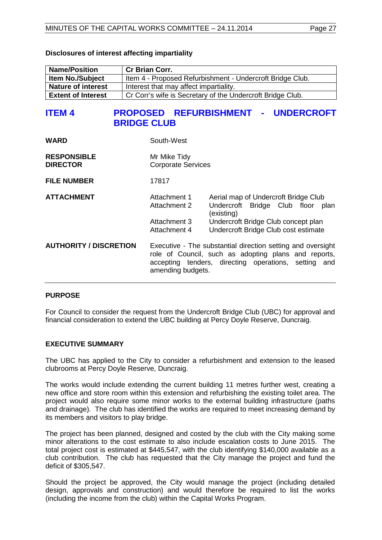| <b>Name/Position</b>      | <b>Cr Brian Corr.</b>                                      |
|---------------------------|------------------------------------------------------------|
| <b>Item No./Subject</b>   | Item 4 - Proposed Refurbishment - Undercroft Bridge Club.  |
| <b>Nature of interest</b> | Interest that may affect impartiality.                     |
| <b>Extent of Interest</b> | Cr Corr's wife is Secretary of the Undercroft Bridge Club. |
|                           |                                                            |

#### **Disclosures of interest affecting impartiality**

# <span id="page-26-0"></span>**ITEM 4 PROPOSED REFURBISHMENT - UNDERCROFT BRIDGE CLUB**

| <b>WARD</b>                           | South-West                                                   |                                                                                                                                                                             |
|---------------------------------------|--------------------------------------------------------------|-----------------------------------------------------------------------------------------------------------------------------------------------------------------------------|
| <b>RESPONSIBLE</b><br><b>DIRECTOR</b> | Mr Mike Tidy<br><b>Corporate Services</b>                    |                                                                                                                                                                             |
| <b>FILE NUMBER</b>                    | 17817                                                        |                                                                                                                                                                             |
| <b>ATTACHMENT</b>                     | Attachment 1<br>Attachment 2<br>Attachment 3<br>Attachment 4 | Aerial map of Undercroft Bridge Club<br>Undercroft Bridge Club floor<br>plan<br>(existing)<br>Undercroft Bridge Club concept plan<br>Undercroft Bridge Club cost estimate   |
| <b>AUTHORITY / DISCRETION</b>         | amending budgets.                                            | Executive - The substantial direction setting and oversight<br>role of Council, such as adopting plans and reports,<br>accepting tenders, directing operations, setting and |

#### **PURPOSE**

For Council to consider the request from the Undercroft Bridge Club (UBC) for approval and financial consideration to extend the UBC building at Percy Doyle Reserve, Duncraig.

#### **EXECUTIVE SUMMARY**

The UBC has applied to the City to consider a refurbishment and extension to the leased clubrooms at Percy Doyle Reserve, Duncraig.

The works would include extending the current building 11 metres further west, creating a new office and store room within this extension and refurbishing the existing toilet area. The project would also require some minor works to the external building infrastructure (paths and drainage). The club has identified the works are required to meet increasing demand by its members and visitors to play bridge.

The project has been planned, designed and costed by the club with the City making some minor alterations to the cost estimate to also include escalation costs to June 2015. The total project cost is estimated at \$445,547, with the club identifying \$140,000 available as a club contribution. The club has requested that the City manage the project and fund the deficit of \$305,547.

Should the project be approved, the City would manage the project (including detailed design, approvals and construction) and would therefore be required to list the works (including the income from the club) within the Capital Works Program.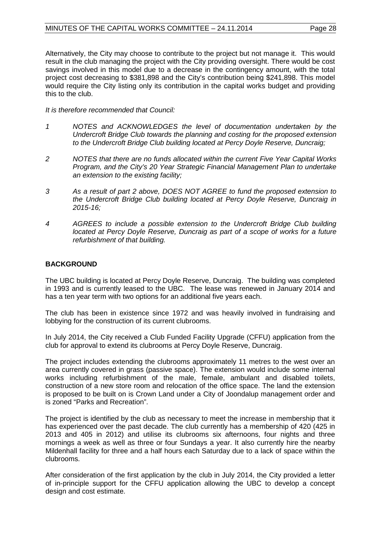Alternatively, the City may choose to contribute to the project but not manage it. This would result in the club managing the project with the City providing oversight. There would be cost savings involved in this model due to a decrease in the contingency amount, with the total project cost decreasing to \$381,898 and the City's contribution being \$241,898. This model would require the City listing only its contribution in the capital works budget and providing this to the club.

#### *It is therefore recommended that Council:*

- *1 NOTES and ACKNOWLEDGES the level of documentation undertaken by the Undercroft Bridge Club towards the planning and costing for the proposed extension to the Undercroft Bridge Club building located at Percy Doyle Reserve, Duncraig;*
- *2 NOTES that there are no funds allocated within the current Five Year Capital Works Program, and the City's 20 Year Strategic Financial Management Plan to undertake an extension to the existing facility;*
- *3 As a result of part 2 above, DOES NOT AGREE to fund the proposed extension to the Undercroft Bridge Club building located at Percy Doyle Reserve, Duncraig in 2015-16;*
- *4 AGREES to include a possible extension to the Undercroft Bridge Club building located at Percy Doyle Reserve, Duncraig as part of a scope of works for a future refurbishment of that building.*

# **BACKGROUND**

The UBC building is located at Percy Doyle Reserve, Duncraig. The building was completed in 1993 and is currently leased to the UBC. The lease was renewed in January 2014 and has a ten year term with two options for an additional five years each.

The club has been in existence since 1972 and was heavily involved in fundraising and lobbying for the construction of its current clubrooms.

In July 2014, the City received a Club Funded Facility Upgrade (CFFU) application from the club for approval to extend its clubrooms at Percy Doyle Reserve, Duncraig.

The project includes extending the clubrooms approximately 11 metres to the west over an area currently covered in grass (passive space). The extension would include some internal works including refurbishment of the male, female, ambulant and disabled toilets, construction of a new store room and relocation of the office space. The land the extension is proposed to be built on is Crown Land under a City of Joondalup management order and is zoned "Parks and Recreation".

The project is identified by the club as necessary to meet the increase in membership that it has experienced over the past decade. The club currently has a membership of 420 (425 in 2013 and 405 in 2012) and utilise its clubrooms six afternoons, four nights and three mornings a week as well as three or four Sundays a year. It also currently hire the nearby Mildenhall facility for three and a half hours each Saturday due to a lack of space within the clubrooms.

After consideration of the first application by the club in July 2014, the City provided a letter of in-principle support for the CFFU application allowing the UBC to develop a concept design and cost estimate.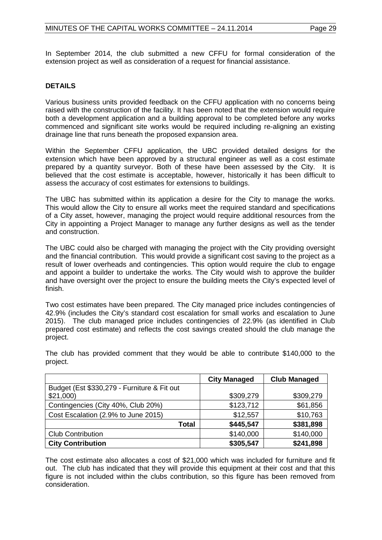In September 2014, the club submitted a new CFFU for formal consideration of the extension project as well as consideration of a request for financial assistance.

#### **DETAILS**

Various business units provided feedback on the CFFU application with no concerns being raised with the construction of the facility. It has been noted that the extension would require both a development application and a building approval to be completed before any works commenced and significant site works would be required including re-aligning an existing drainage line that runs beneath the proposed expansion area.

Within the September CFFU application, the UBC provided detailed designs for the extension which have been approved by a structural engineer as well as a cost estimate prepared by a quantity surveyor. Both of these have been assessed by the City. It is believed that the cost estimate is acceptable, however, historically it has been difficult to assess the accuracy of cost estimates for extensions to buildings.

The UBC has submitted within its application a desire for the City to manage the works. This would allow the City to ensure all works meet the required standard and specifications of a City asset, however, managing the project would require additional resources from the City in appointing a Project Manager to manage any further designs as well as the tender and construction.

The UBC could also be charged with managing the project with the City providing oversight and the financial contribution. This would provide a significant cost saving to the project as a result of lower overheads and contingencies. This option would require the club to engage and appoint a builder to undertake the works. The City would wish to approve the builder and have oversight over the project to ensure the building meets the City's expected level of finish.

Two cost estimates have been prepared. The City managed price includes contingencies of 42.9% (includes the City's standard cost escalation for small works and escalation to June 2015). The club managed price includes contingencies of 22.9% (as identified in Club prepared cost estimate) and reflects the cost savings created should the club manage the project.

|                                             | <b>City Managed</b> | <b>Club Managed</b> |
|---------------------------------------------|---------------------|---------------------|
| Budget (Est \$330,279 - Furniture & Fit out |                     |                     |
| \$21,000                                    | \$309,279           | \$309,279           |
| Contingencies (City 40%, Club 20%)          | \$123,712           | \$61,856            |
| Cost Escalation (2.9% to June 2015)         | \$12,557            | \$10,763            |
| Total                                       | \$445,547           | \$381,898           |
| <b>Club Contribution</b>                    | \$140,000           | \$140,000           |
| <b>City Contribution</b>                    | \$305,547           | \$241,898           |

The club has provided comment that they would be able to contribute \$140,000 to the project.

The cost estimate also allocates a cost of \$21,000 which was included for furniture and fit out. The club has indicated that they will provide this equipment at their cost and that this figure is not included within the clubs contribution, so this figure has been removed from consideration.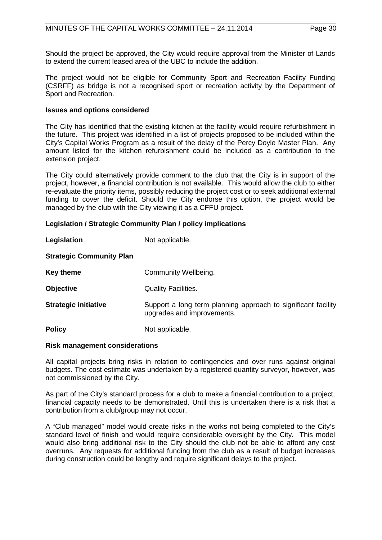Should the project be approved, the City would require approval from the Minister of Lands to extend the current leased area of the UBC to include the addition.

The project would not be eligible for Community Sport and Recreation Facility Funding (CSRFF) as bridge is not a recognised sport or recreation activity by the Department of Sport and Recreation.

#### **Issues and options considered**

The City has identified that the existing kitchen at the facility would require refurbishment in the future. This project was identified in a list of projects proposed to be included within the City's Capital Works Program as a result of the delay of the Percy Doyle Master Plan. Any amount listed for the kitchen refurbishment could be included as a contribution to the extension project.

The City could alternatively provide comment to the club that the City is in support of the project, however, a financial contribution is not available. This would allow the club to either re-evaluate the priority items, possibly reducing the project cost or to seek additional external funding to cover the deficit. Should the City endorse this option, the project would be managed by the club with the City viewing it as a CFFU project.

# **Legislation / Strategic Community Plan / policy implications**

| Legislation                     | Not applicable.                                                                             |
|---------------------------------|---------------------------------------------------------------------------------------------|
| <b>Strategic Community Plan</b> |                                                                                             |
| Key theme                       | Community Wellbeing.                                                                        |
| <b>Objective</b>                | <b>Quality Facilities.</b>                                                                  |
| <b>Strategic initiative</b>     | Support a long term planning approach to significant facility<br>upgrades and improvements. |
| <b>Policy</b>                   | Not applicable.                                                                             |

#### **Risk management considerations**

All capital projects bring risks in relation to contingencies and over runs against original budgets. The cost estimate was undertaken by a registered quantity surveyor, however, was not commissioned by the City.

As part of the City's standard process for a club to make a financial contribution to a project, financial capacity needs to be demonstrated. Until this is undertaken there is a risk that a contribution from a club/group may not occur.

A "Club managed" model would create risks in the works not being completed to the City's standard level of finish and would require considerable oversight by the City. This model would also bring additional risk to the City should the club not be able to afford any cost overruns. Any requests for additional funding from the club as a result of budget increases during construction could be lengthy and require significant delays to the project.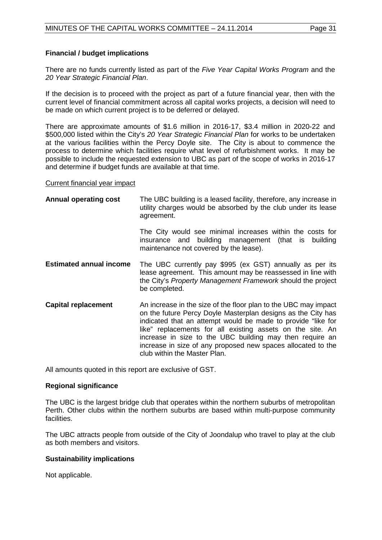# **Financial / budget implications**

There are no funds currently listed as part of the *Five Year Capital Works Program* and the *20 Year Strategic Financial Plan*.

If the decision is to proceed with the project as part of a future financial year, then with the current level of financial commitment across all capital works projects, a decision will need to be made on which current project is to be deferred or delayed.

There are approximate amounts of \$1.6 million in 2016-17, \$3.4 million in 2020-22 and \$500,000 listed within the City's *20 Year Strategic Financial Plan* for works to be undertaken at the various facilities within the Percy Doyle site. The City is about to commence the process to determine which facilities require what level of refurbishment works. It may be possible to include the requested extension to UBC as part of the scope of works in 2016-17 and determine if budget funds are available at that time.

#### Current financial year impact

| Annual operating cost | The UBC building is a leased facility, therefore, any increase in |
|-----------------------|-------------------------------------------------------------------|
|                       | utility charges would be absorbed by the club under its lease     |
|                       | agreement.                                                        |

The City would see minimal increases within the costs for insurance and building management (that is building maintenance not covered by the lease).

- **Estimated annual income** The UBC currently pay \$995 (ex GST) annually as per its lease agreement. This amount may be reassessed in line with the City's *Property Management Framework* should the project be completed.
- **Capital replacement** An increase in the size of the floor plan to the UBC may impact on the future Percy Doyle Masterplan designs as the City has indicated that an attempt would be made to provide "like for like" replacements for all existing assets on the site. An increase in size to the UBC building may then require an increase in size of any proposed new spaces allocated to the club within the Master Plan.

All amounts quoted in this report are exclusive of GST.

# **Regional significance**

The UBC is the largest bridge club that operates within the northern suburbs of metropolitan Perth. Other clubs within the northern suburbs are based within multi-purpose community facilities.

The UBC attracts people from outside of the City of Joondalup who travel to play at the club as both members and visitors.

# **Sustainability implications**

Not applicable.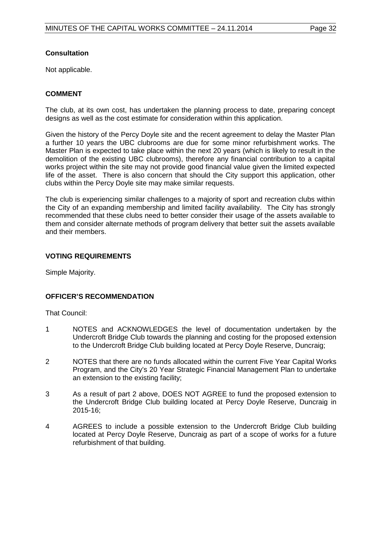#### **Consultation**

Not applicable.

# **COMMENT**

The club, at its own cost, has undertaken the planning process to date, preparing concept designs as well as the cost estimate for consideration within this application.

Given the history of the Percy Doyle site and the recent agreement to delay the Master Plan a further 10 years the UBC clubrooms are due for some minor refurbishment works. The Master Plan is expected to take place within the next 20 years (which is likely to result in the demolition of the existing UBC clubrooms), therefore any financial contribution to a capital works project within the site may not provide good financial value given the limited expected life of the asset. There is also concern that should the City support this application, other clubs within the Percy Doyle site may make similar requests.

The club is experiencing similar challenges to a majority of sport and recreation clubs within the City of an expanding membership and limited facility availability. The City has strongly recommended that these clubs need to better consider their usage of the assets available to them and consider alternate methods of program delivery that better suit the assets available and their members.

# **VOTING REQUIREMENTS**

Simple Majority.

# **OFFICER'S RECOMMENDATION**

That Council:

- 1 NOTES and ACKNOWLEDGES the level of documentation undertaken by the Undercroft Bridge Club towards the planning and costing for the proposed extension to the Undercroft Bridge Club building located at Percy Doyle Reserve, Duncraig;
- 2 NOTES that there are no funds allocated within the current Five Year Capital Works Program, and the City's 20 Year Strategic Financial Management Plan to undertake an extension to the existing facility;
- 3 As a result of part 2 above, DOES NOT AGREE to fund the proposed extension to the Undercroft Bridge Club building located at Percy Doyle Reserve, Duncraig in 2015-16;
- 4 AGREES to include a possible extension to the Undercroft Bridge Club building located at Percy Doyle Reserve, Duncraig as part of a scope of works for a future refurbishment of that building.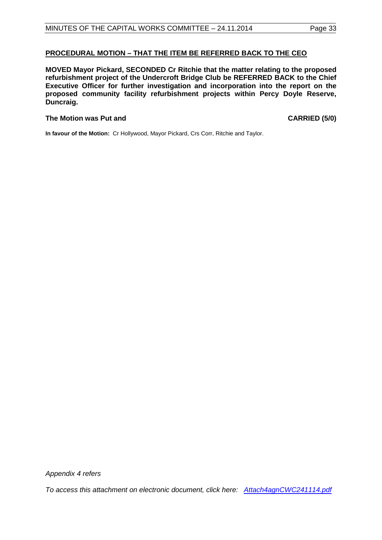# **PROCEDURAL MOTION – THAT THE ITEM BE REFERRED BACK TO THE CEO**

**MOVED Mayor Pickard, SECONDED Cr Ritchie that the matter relating to the proposed refurbishment project of the Undercroft Bridge Club be REFERRED BACK to the Chief Executive Officer for further investigation and incorporation into the report on the proposed community facility refurbishment projects within Percy Doyle Reserve, Duncraig.**

#### **The Motion was Put and CARRIED (5/0)**

**In favour of the Motion:** Cr Hollywood, Mayor Pickard, Crs Corr, Ritchie and Taylor.

*Appendix 4 refers*

*[To access this attachment on electronic document, click here: Attach4agnCWC241114.pdf](http://www.joondalup.wa.gov.au/files/committees/CWOC/2014/Attach4agnCWC241114.pdf)*